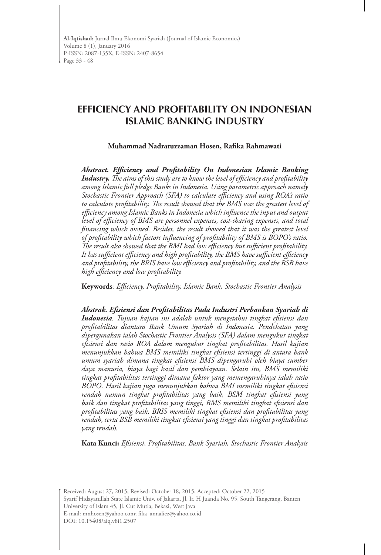**Al-Iqtishad:** Jurnal Ilmu Ekonomi Syariah (Journal of Islamic Economics) Volume 8 (1), January 2016 P-ISSN: 2087-135X; E-ISSN: 2407-8654 Page 33 - 48

# **EFFICIENCY AND PROFITABILITY ON INDONESIAN ISLAMIC BANKING INDUSTRY**

**Muhammad Nadratuzzaman Hosen, Rafika Rahmawati**

*Abstract. Efficiency and Profitability On Indonesian Islamic Banking Industry. The aims of this study are to know the level of efficiency and profitability among Islamic full pledge Banks in Indonesia. Using parametric approach namely Stochastic Frontier Approach (SFA) to calculate efficiency and using ROA's ratio to calculate profitability. The result showed that the BMS was the greatest level of efficiency among Islamic Banks in Indonesia which influence the input and output level of efficiency of BMS are personnel expenses, cost-sharing expenses, and total financing which owned. Besides, the result showed that it was the greatest level of profitability which factors influencing of profitability of BMS is BOPO's ratio. The result also showed that the BMI had low efficiency but sufficient profitability. It has sufficient efficiency and high profitability, the BMS have sufficient efficiency and profitability, the BRIS have low efficiency and profitability, and the BSB have high efficiency and low profitability.*

**Keywords***: Efficiency, Profitability, Islamic Bank, Stochastic Frontier Analysis*

*Abstrak. Efisiensi dan Profitabilitas Pada Industri Perbankan Syariah di Indonesia. Tujuan kajian ini adalah untuk mengetahui tingkat efisiensi dan profitabilitas diantara Bank Umum Syariah di Indonesia. Pendekatan yang dipergunakan ialah Stochastic Frontier Analysis (SFA) dalam mengukur tingkat efisiensi dan rasio ROA dalam mengukur tingkat profitabilitas. Hasil kajian menunjukkan bahwa BMS memiliki tingkat efisiensi tertinggi di antara bank umum syariah dimana tingkat efisiensi BMS dipengaruhi oleh biaya sumber daya manusia, biaya bagi hasil dan pembiayaan. Selain itu, BMS memiliki tingkat profitabilitas tertinggi dimana faktor yang memengaruhinya ialah rasio BOPO. Hasil kajian juga menunjukkan bahwa BMI memiliki tingkat efisiensi rendah namun tingkat profitabilitas yang baik, BSM tingkat efisiensi yang baik dan tingkat profitabilitas yang tinggi, BMS memiliki tingkat efisiensi dan profitabilitas yang baik, BRIS memiliki tingkat efisiensi dan profitabilitas yang rendah, serta BSB memiliki tingkat efisiensi yang tinggi dan tingkat profitabilitas yang rendah.*

**Kata Kunci:** *Efisiensi, Profitabilitas, Bank Syariah, Stochastic Frontier Analysis*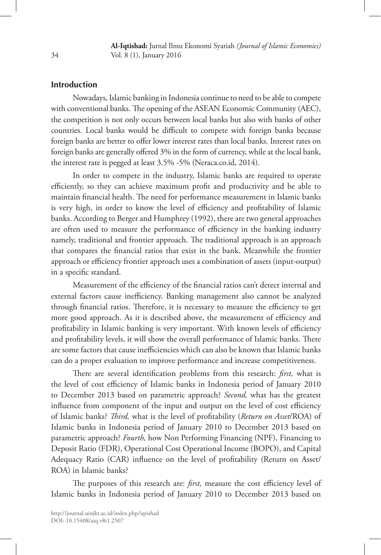### **Introduction**

Nowadays, Islamic banking in Indonesia continue to need to be able to compete with conventional banks. The opening of the ASEAN Economic Community (AEC), the competition is not only occurs between local banks but also with banks of other countries. Local banks would be difficult to compete with foreign banks because foreign banks are better to offer lower interest rates than local banks. Interest rates on foreign banks are generally offered 3% in the form of currency, while at the local bank, the interest rate is pegged at least 3.5% -5% (Neraca.co.id, 2014).

In order to compete in the industry, Islamic banks are required to operate efficiently, so they can achieve maximum profit and productivity and be able to maintain financial health. The need for performance measurement in Islamic banks is very high, in order to know the level of efficiency and profitability of Islamic banks. According to Berger and Humphrey (1992), there are two general approaches are often used to measure the performance of efficiency in the banking industry namely, traditional and frontier approach. The traditional approach is an approach that compares the financial ratios that exist in the bank. Meanwhile the frontier approach or efficiency frontier approach uses a combination of assets (input-output) in a specific standard.

Measurement of the efficiency of the financial ratios can't detect internal and external factors cause inefficiency. Banking management also cannot be analyzed through financial ratios. Therefore, it is necessary to measure the efficiency to get more good approach. As it is described above, the measurement of efficiency and profitability in Islamic banking is very important. With known levels of efficiency and profitability levels, it will show the overall performance of Islamic banks. There are some factors that cause inefficiencies which can also be known that Islamic banks can do a proper evaluation to improve performance and increase competitiveness.

There are several identification problems from this research: *first,* what is the level of cost efficiency of Islamic banks in Indonesia period of January 2010 to December 2013 based on parametric approach? *Second,* what has the greatest influence from component of the input and output on the level of cost efficiency of Islamic banks? *Third,* what is the level of profitability (*Return on Asset*/ROA) of Islamic banks in Indonesia period of January 2010 to December 2013 based on parametric approach? *Fourth,* how Non Performing Financing (NPF), Financing to Deposit Ratio (FDR), Operational Cost Operational Income (BOPO), and Capital Adequacy Ratio (CAR) influence on the level of profitability (Return on Asset/ ROA) in Islamic banks?

The purposes of this research are: *first,* measure the cost efficiency level of Islamic banks in Indonesia period of January 2010 to December 2013 based on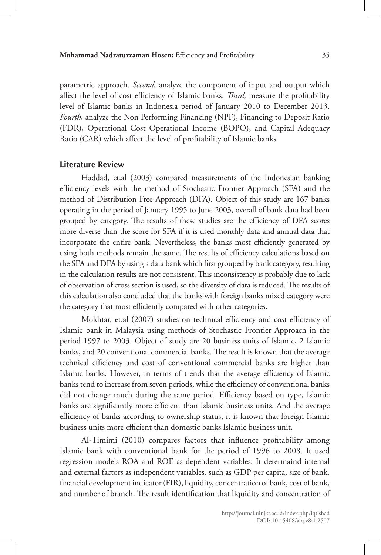parametric approach. *Second,* analyze the component of input and output which affect the level of cost efficiency of Islamic banks. *Third,* measure the profitability level of Islamic banks in Indonesia period of January 2010 to December 2013. *Fourth,* analyze the Non Performing Financing (NPF), Financing to Deposit Ratio (FDR), Operational Cost Operational Income (BOPO), and Capital Adequacy Ratio (CAR) which affect the level of profitability of Islamic banks.

#### **Literature Review**

Haddad, et.al (2003) compared measurements of the Indonesian banking efficiency levels with the method of Stochastic Frontier Approach (SFA) and the method of Distribution Free Approach (DFA). Object of this study are 167 banks operating in the period of January 1995 to June 2003, overall of bank data had been grouped by category. The results of these studies are the efficiency of DFA scores more diverse than the score for SFA if it is used monthly data and annual data that incorporate the entire bank. Nevertheless, the banks most efficiently generated by using both methods remain the same. The results of efficiency calculations based on the SFA and DFA by using a data bank which first grouped by bank category, resulting in the calculation results are not consistent. This inconsistency is probably due to lack of observation of cross section is used, so the diversity of data is reduced. The results of this calculation also concluded that the banks with foreign banks mixed category were the category that most efficiently compared with other categories.

Mokhtar, et.al (2007) studies on technical efficiency and cost efficiency of Islamic bank in Malaysia using methods of Stochastic Frontier Approach in the period 1997 to 2003. Object of study are 20 business units of Islamic, 2 Islamic banks, and 20 conventional commercial banks. The result is known that the average technical efficiency and cost of conventional commercial banks are higher than Islamic banks. However, in terms of trends that the average efficiency of Islamic banks tend to increase from seven periods, while the efficiency of conventional banks did not change much during the same period. Efficiency based on type, Islamic banks are significantly more efficient than Islamic business units. And the average efficiency of banks according to ownership status, it is known that foreign Islamic business units more efficient than domestic banks Islamic business unit.

Al-Timimi (2010) compares factors that influence profitability among Islamic bank with conventional bank for the period of 1996 to 2008. It used regression models ROA and ROE as dependent variables. It determaind internal and external factors as independent variables, such as GDP per capita, size of bank, financial development indicator (FIR), liquidity, concentration of bank, cost of bank, and number of branch. The result identification that liquidity and concentration of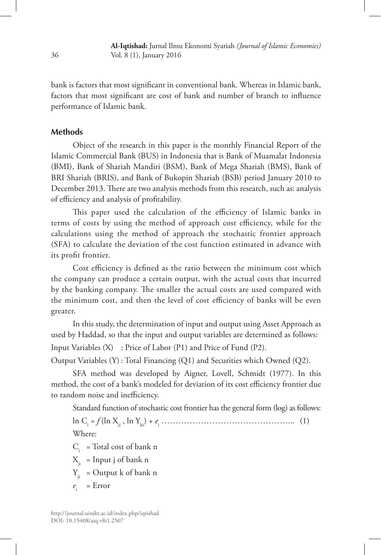bank is factors that most significant in conventional bank. Whereas in Islamic bank, factors that most significant are cost of bank and number of branch to influence performance of Islamic bank.

### **Methods**

Object of the research in this paper is the monthly Financial Report of the Islamic Commercial Bank (BUS) in Indonesia that is Bank of Muamalat Indonesia (BMI), Bank of Shariah Mandiri (BSM), Bank of Mega Shariah (BMS), Bank of BRI Shariah (BRIS), and Bank of Bukopin Shariah (BSB) period January 2010 to December 2013. There are two analysis methods from this research, such as: analysis of efficiency and analysis of profitability.

This paper used the calculation of the efficiency of Islamic banks in terms of costs by using the method of approach cost efficiency, while for the calculations using the method of approach the stochastic frontier approach (SFA) to calculate the deviation of the cost function estimated in advance with its profit frontier.

Cost efficiency is defined as the ratio between the minimum cost which the company can produce a certain output, with the actual costs that incurred by the banking company. The smaller the actual costs are used compared with the minimum cost, and then the level of cost efficiency of banks will be even greater.

In this study, the determination of input and output using Asset Approach as used by Haddad, so that the input and output variables are determined as follows: Input Variables (X) : Price of Labor (P1) and Price of Fund (P2).

Output Variables (Y) : Total Financing (Q1) and Securities which Owned (Q2).

SFA method was developed by Aigner, Lovell, Schmidt (1977). In this method, the cost of a bank's modeled for deviation of its cost efficiency frontier due to random noise and inefficiency.

Standard function of stochastic cost frontier has the general form (log) as follows:

ln Ci = *f* (ln Xji , ln Yki) + *e*<sup>i</sup> ………………………………………... (1) Where:

 $C_i$  = Total cost of bank n

 $X_{ii}$  = Input j of bank n

 $Y_{ii}$  = Output k of bank n

 $e_i$  = Error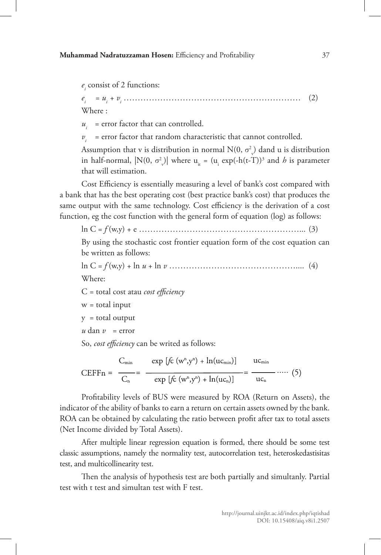$e_i$  consist of 2 functions:

*ei = ui + vi* ……………………………………………………… (2) Where :

 $u_i$  = error factor that can controlled.

 $v_i$  = error factor that random characteristic that cannot controlled.

Assumption that v is distribution in normal  $N(0, \sigma_v^2)$  dand u is distribution in half-normal,  $|N(0, \sigma_v^2)|$  where  $u_{it} = (u_i \exp(-h(t-T))^3$  and *h* is parameter that will estimation.

Cost Efficiency is essentially measuring a level of bank's cost compared with a bank that has the best operating cost (best practice bank's cost) that produces the same output with the same technology. Cost efficiency is the derivation of a cost function, eg the cost function with the general form of equation (log) as follows:

ln C = *f* (w,y) + e …………………………………………………... (3)

By using the stochastic cost frontier equation form of the cost equation can be written as follows:

ln C = *f* (w,y) + ln *u* + ln *v* ……………………………………….... (4) Where:

C = total cost atau *cost efficiency*

w = total input

 $y =$  total output

 $u \, \text{dan } v = \text{error}$ 

So, *cost efficiency* can be writed as follows:

$$
\text{CEFFn} = \frac{C_{\min}}{C_n} = \frac{\exp\left[f\hat{c}\left(w^n, y^n\right) + \ln(u c_{\min})\right]}{\exp\left[f\hat{c}\left(w^n, y^n\right) + \ln(u c_n)\right]} = \frac{uc_{\min}}{uc_n} \cdots (5)
$$

Profitability levels of BUS were measured by ROA (Return on Assets), the indicator of the ability of banks to earn a return on certain assets owned by the bank. ROA can be obtained by calculating the ratio between profit after tax to total assets (Net Income divided by Total Assets).

After multiple linear regression equation is formed, there should be some test classic assumptions, namely the normality test, autocorrelation test, heteroskedastisitas test, and multicollinearity test.

Then the analysis of hypothesis test are both partially and simultanly. Partial test with t test and simultan test with F test.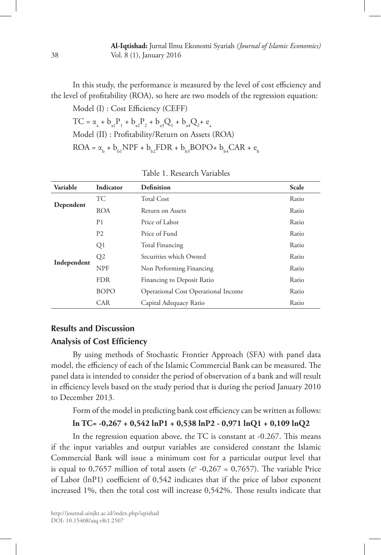In this study, the performance is measured by the level of cost efficiency and the level of profitability (ROA), so here are two models of the regression equation:

Model (I) : Cost Efficiency (CEFF)  $TC = \alpha_a + b_{a1}P_1 + b_{a2}P_2 + b_{a3}Q_1 + b_{a4}Q_2 + e_a$ Model (II) : Profitability/Return on Assets (ROA)  $ROA = \alpha_{b} + b_{b1}NPF + b_{b2}FDR + b_{b3}BOPO + b_{b4}CAR + e_{b4}$ 

| Variable    | Indicator      | <b>Definition</b>                          | Scale |
|-------------|----------------|--------------------------------------------|-------|
|             | <b>TC</b>      | <b>Total Cost</b>                          | Ratio |
| Dependent   | <b>ROA</b>     | Return on Assets                           | Ratio |
|             | P <sub>1</sub> | Price of Labor                             | Ratio |
|             | P <sub>2</sub> | Price of Fund                              | Ratio |
|             | Q <sub>1</sub> | <b>Total Financing</b>                     | Ratio |
| Q2          |                | Securities which Owned                     | Ratio |
| Independent | <b>NPF</b>     | Non Performing Financing                   | Ratio |
|             | <b>FDR</b>     | Financing to Deposit Ratio                 | Ratio |
|             | <b>BOPO</b>    | <b>Operational Cost Operational Income</b> | Ratio |
|             | <b>CAR</b>     | Capital Adequacy Ratio                     | Ratio |

Table 1. Research Variables

# **Results and Discussion Analysis of Cost Efficiency**

By using methods of Stochastic Frontier Approach (SFA) with panel data model, the efficiency of each of the Islamic Commercial Bank can be measured. The panel data is intended to consider the period of observation of a bank and will result in efficiency levels based on the study period that is during the period January 2010 to December 2013.

Form of the model in predicting bank cost efficiency can be written as follows:

## **ln TC= -0,267 + 0,542 lnP1 + 0,538 lnP2 - 0,971 lnQ1 + 0,109 lnQ2**

In the regression equation above, the TC is constant at -0.267. This means if the input variables and output variables are considered constant the Islamic Commercial Bank will issue a minimum cost for a particular output level that is equal to 0,7657 million of total assets ( $e^x$  -0,267 = 0,7657). The variable Price of Labor (lnP1) coefficient of 0,542 indicates that if the price of labor exponent increased 1%, then the total cost will increase 0,542%. Those results indicate that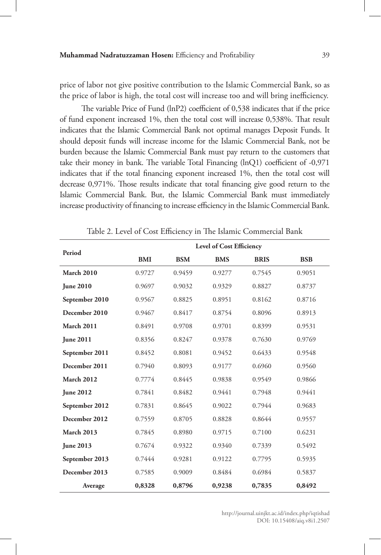price of labor not give positive contribution to the Islamic Commercial Bank, so as the price of labor is high, the total cost will increase too and will bring inefficiency.

The variable Price of Fund (lnP2) coefficient of 0,538 indicates that if the price of fund exponent increased 1%, then the total cost will increase 0,538%. That result indicates that the Islamic Commercial Bank not optimal manages Deposit Funds. It should deposit funds will increase income for the Islamic Commercial Bank, not be burden because the Islamic Commercial Bank must pay return to the customers that take their money in bank. The variable Total Financing (lnQ1) coefficient of -0,971 indicates that if the total financing exponent increased 1%, then the total cost will decrease 0,971%. Those results indicate that total financing give good return to the Islamic Commercial Bank. But, the Islamic Commercial Bank must immediately increase productivity of financing to increase efficiency in the Islamic Commercial Bank.

| Period            |            |            | Level of Cost Efficiency |             |            |
|-------------------|------------|------------|--------------------------|-------------|------------|
|                   | <b>BMI</b> | <b>BSM</b> | <b>BMS</b>               | <b>BRIS</b> | <b>BSB</b> |
| <b>March 2010</b> | 0.9727     | 0.9459     | 0.9277                   | 0.7545      | 0.9051     |
| <b>Iune 2010</b>  | 0.9697     | 0.9032     | 0.9329                   | 0.8827      | 0.8737     |
| September 2010    | 0.9567     | 0.8825     | 0.8951                   | 0.8162      | 0.8716     |
| December 2010     | 0.9467     | 0.8417     | 0.8754                   | 0.8096      | 0.8913     |
| <b>March 2011</b> | 0.8491     | 0.9708     | 0.9701                   | 0.8399      | 0.9531     |
| <b>June 2011</b>  | 0.8356     | 0.8247     | 0.9378                   | 0.7630      | 0.9769     |
| September 2011    | 0.8452     | 0.8081     | 0.9452                   | 0.6433      | 0.9548     |
| December 2011     | 0.7940     | 0.8093     | 0.9177                   | 0.6960      | 0.9560     |
| <b>March 2012</b> | 0.7774     | 0.8445     | 0.9838                   | 0.9549      | 0.9866     |
| <b>June 2012</b>  | 0.7841     | 0.8482     | 0.9441                   | 0.7948      | 0.9441     |
| September 2012    | 0.7831     | 0.8645     | 0.9022                   | 0.7944      | 0.9683     |
| December 2012     | 0.7559     | 0.8705     | 0.8828                   | 0.8644      | 0.9557     |
| <b>March 2013</b> | 0.7845     | 0.8980     | 0.9715                   | 0.7100      | 0.6231     |
| <b>June 2013</b>  | 0.7674     | 0.9322     | 0.9340                   | 0.7339      | 0.5492     |
| September 2013    | 0.7444     | 0.9281     | 0.9122                   | 0.7795      | 0.5935     |
| December 2013     | 0.7585     | 0.9009     | 0.8484                   | 0.6984      | 0.5837     |
| Average           | 0,8328     | 0,8796     | 0,9238                   | 0,7835      | 0,8492     |

Table 2. Level of Cost Efficiency in The Islamic Commercial Bank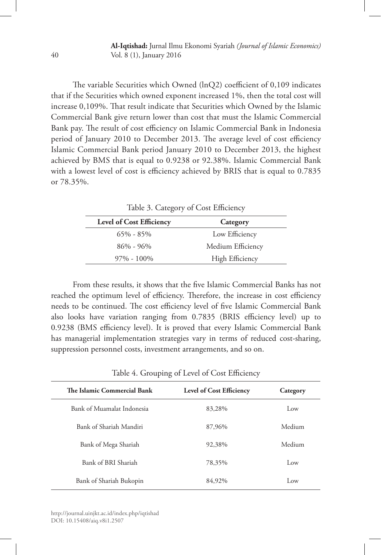The variable Securities which Owned (lnQ2) coefficient of 0,109 indicates that if the Securities which owned exponent increased 1%, then the total cost will increase 0,109%. That result indicate that Securities which Owned by the Islamic Commercial Bank give return lower than cost that must the Islamic Commercial Bank pay. The result of cost efficiency on Islamic Commercial Bank in Indonesia period of January 2010 to December 2013. The average level of cost efficiency Islamic Commercial Bank period January 2010 to December 2013, the highest achieved by BMS that is equal to 0.9238 or 92.38%. Islamic Commercial Bank with a lowest level of cost is efficiency achieved by BRIS that is equal to 0.7835 or 78.35%.

Table 3. Category of Cost Efficiency

| <b>Level of Cost Efficiency</b> | Category          |
|---------------------------------|-------------------|
| $65\% - 85\%$                   | Low Efficiency    |
| $86\% - 96\%$                   | Medium Efficiency |
| $97\% - 100\%$                  | High Efficiency   |

From these results, it shows that the five Islamic Commercial Banks has not reached the optimum level of efficiency. Therefore, the increase in cost efficiency needs to be continued. The cost efficiency level of five Islamic Commercial Bank also looks have variation ranging from 0.7835 (BRIS efficiency level) up to 0.9238 (BMS efficiency level). It is proved that every Islamic Commercial Bank has managerial implementation strategies vary in terms of reduced cost-sharing, suppression personnel costs, investment arrangements, and so on.

| Table 4. Shouping of Level of Cost Emercine |                                 |          |  |  |
|---------------------------------------------|---------------------------------|----------|--|--|
| The Islamic Commercial Bank                 | <b>Level of Cost Efficiency</b> | Category |  |  |
| Bank of Muamalat Indonesia                  | 83,28%                          | Low      |  |  |
| Bank of Shariah Mandiri                     | 87,96%                          | Medium   |  |  |
| Bank of Mega Shariah                        | 92,38%                          | Medium   |  |  |
| Bank of BRI Shariah                         | 78,35%                          | Low      |  |  |
| Bank of Shariah Bukopin                     | 84,92%                          | Low      |  |  |

Table 4. Grouping of Level of Cost Efficiency

http://journal.uinjkt.ac.id/index.php/iqtishad DOI: 10.15408/aiq.v8i1.2507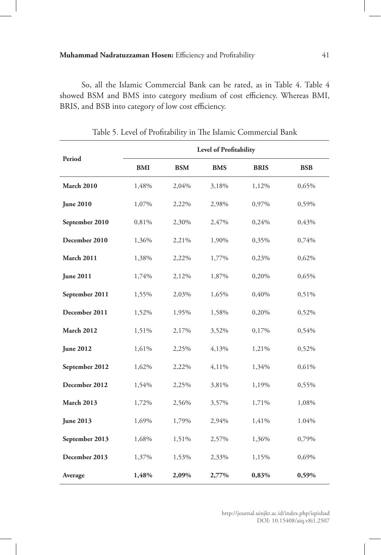### **Muhammad Nadratuzzaman Hosen:** Efficiency and Profitability 41

So, all the Islamic Commercial Bank can be rated, as in Table 4. Table 4 showed BSM and BMS into category medium of cost efficiency. Whereas BMI, BRIS, and BSB into category of low cost efficiency.

|                   |            |            | Level of Profitability |             |            |
|-------------------|------------|------------|------------------------|-------------|------------|
| Period            | <b>BMI</b> | <b>BSM</b> | <b>BMS</b>             | <b>BRIS</b> | <b>BSB</b> |
| <b>March 2010</b> | 1,48%      | 2,04%      | 3,18%                  | 1,12%       | 0,65%      |
| <b>June 2010</b>  | 1,07%      | 2,22%      | 2,98%                  | 0,97%       | 0,59%      |
| September 2010    | 0,81%      | 2,30%      | 2,47%                  | 0,24%       | 0,43%      |
| December 2010     | 1,36%      | 2,21%      | 1,90%                  | 0,35%       | 0,74%      |
| <b>March 2011</b> | 1,38%      | 2,22%      | 1,77%                  | 0,23%       | 0,62%      |
| <b>June 2011</b>  | 1,74%      | 2,12%      | 1,87%                  | 0,20%       | 0,65%      |
| September 2011    | 1,55%      | 2,03%      | 1,65%                  | 0,40%       | 0,51%      |
| December 2011     | 1,52%      | 1,95%      | 1,58%                  | 0,20%       | 0,52%      |
| <b>March 2012</b> | 1,51%      | 2,17%      | 3,52%                  | 0,17%       | 0,54%      |
| <b>June 2012</b>  | 1,61%      | 2,25%      | 4,13%                  | 1,21%       | 0,52%      |
| September 2012    | 1,62%      | 2,22%      | 4,11%                  | 1,34%       | 0,61%      |
| December 2012     | 1,54%      | 2,25%      | 3,81%                  | 1,19%       | 0,55%      |
| <b>March 2013</b> | 1,72%      | 2,56%      | 3,57%                  | 1,71%       | 1,08%      |
| <b>June 2013</b>  | 1,69%      | 1,79%      | 2,94%                  | 1,41%       | 1.04%      |
| September 2013    | 1,68%      | 1,51%      | 2,57%                  | 1,36%       | 0,79%      |
| December 2013     | 1,37%      | 1,53%      | 2,33%                  | 1,15%       | 0,69%      |
| Average           | 1,48%      | 2,09%      | 2,77%                  | 0,83%       | 0,59%      |

Table 5. Level of Profitability in The Islamic Commercial Bank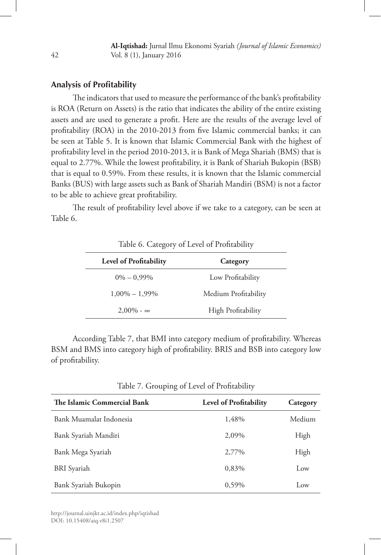#### **Analysis of Profitability**

The indicators that used to measure the performance of the bank's profitability is ROA (Return on Assets) is the ratio that indicates the ability of the entire existing assets and are used to generate a profit. Here are the results of the average level of profitability (ROA) in the 2010-2013 from five Islamic commercial banks; it can be seen at Table 5. It is known that Islamic Commercial Bank with the highest of profitability level in the period 2010-2013, it is Bank of Mega Shariah (BMS) that is equal to 2.77%. While the lowest profitability, it is Bank of Shariah Bukopin (BSB) that is equal to 0.59%. From these results, it is known that the Islamic commercial Banks (BUS) with large assets such as Bank of Shariah Mandiri (BSM) is not a factor to be able to achieve great profitability.

The result of profitability level above if we take to a category, can be seen at Table 6.

| <b>Level of Profitability</b> | Category                  |
|-------------------------------|---------------------------|
| $0\% - 0.99\%$                | Low Profitability         |
| $1,00\% - 1,99\%$             | Medium Profitability      |
| $2.00\% - \infty$             | <b>High Profitability</b> |

Table 6. Category of Level of Profitability

According Table 7, that BMI into category medium of profitability. Whereas BSM and BMS into category high of profitability. BRIS and BSB into category low of profitability.

Table 7. Grouping of Level of Profitability

| The Islamic Commercial Bank | <b>Level of Profitability</b> | Category        |
|-----------------------------|-------------------------------|-----------------|
| Bank Muamalat Indonesia     | 1,48%                         | Medium          |
| Bank Syariah Mandiri        | 2,09%                         | High            |
| Bank Mega Syariah           | 2,77%                         | High            |
| <b>BRI</b> Syariah          | 0,83%                         | Low             |
| Bank Syariah Bukopin        | 0.59%                         | $_{\text{low}}$ |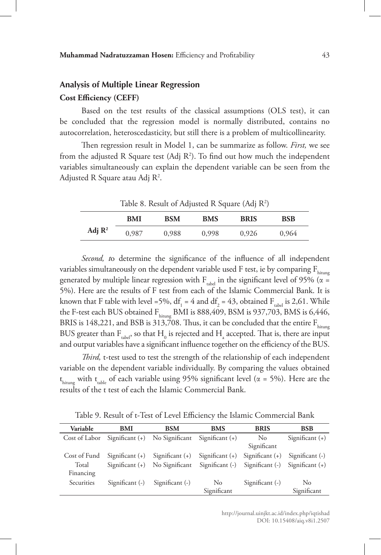## **Analysis of Multiple Linear Regression Cost Efficiency (CEFF)**

Based on the test results of the classical assumptions (OLS test), it can be concluded that the regression model is normally distributed, contains no autocorrelation, heteroscedasticity, but still there is a problem of multicollinearity.

Then regression result in Model 1, can be summarize as follow. *First,* we see from the adjusted R Square test (Adj  $R^2$ ). To find out how much the independent variables simultaneously can explain the dependent variable can be seen from the Adjusted R Square atau Adj R².

Table 8. Result of Adjusted R Square (Adj  $R^2$ )

|                    | <b>BMI</b> | BSM   | <b>BMS</b> | <b>BRIS</b> | BSB   |
|--------------------|------------|-------|------------|-------------|-------|
| Adj $\mathbb{R}^2$ | 0,987      | 0.988 | 0.998      | 0.926       | 0.964 |

*Second, t*o determine the significance of the influence of all independent variables simultaneously on the dependent variable used F test, ie by comparing  $F_{hirmes}$ generated by multiple linear regression with  $F_{table}$  in the significant level of 95% ( $\alpha =$ 5%). Here are the results of F test from each of the Islamic Commercial Bank. It is known that F table with level =5%,  $df_1 = 4$  and  $df_2 = 43$ , obtained  $F_{\text{table}}$  is 2,61. While the F-test each BUS obtained  $F_{\text{hitung}}$  BMI is 888,409, BSM is 937,703, BMS is 6,446, BRIS is 148,221, and BSB is 313,708. Thus, it can be concluded that the entire  $F_{\text{hirmes}}$ BUS greater than  $\rm F_{\rm table}$ , so that  $\rm H_{_0}$  is rejected and  $\rm H_{_a}$  accepted. That is, there are input and output variables have a significant influence together on the efficiency of the BUS.

*Third,* t-test used to test the strength of the relationship of each independent variable on the dependent variable individually. By comparing the values obtained  $t_{\text{hitung}}$  with  $t_{\text{table}}$  of each variable using 95% significant level ( $\alpha = 5\%$ ). Here are the results of the t test of each the Islamic Commercial Bank.

Table 9. Result of t-Test of Level Efficiency the Islamic Commercial Bank

| Variable     | BMI                               | <b>BSM</b>        | <b>BMS</b>        | <b>BRIS</b>       | <b>BSB</b>        |
|--------------|-----------------------------------|-------------------|-------------------|-------------------|-------------------|
|              | $Cost of Labor$ Significant $(+)$ | No Significant    | Significant $(+)$ | No.               | Significant $(+)$ |
|              |                                   |                   |                   | Significant       |                   |
| Cost of Fund | Significant $(+)$                 | Significant $(+)$ | Significant $(+)$ | Significant $(+)$ | Significant $(-)$ |
| Total        | Significant $(+)$                 | No Significant    | Significant (-)   | Significant (-)   | Significant $(+)$ |
| Financing    |                                   |                   |                   |                   |                   |
| Securities   | Significant $(-)$                 | Significant $(-)$ | $\rm No$          | Significant $(-)$ | N <sub>o</sub>    |
|              |                                   |                   | Significant       |                   | Significant       |
|              |                                   |                   |                   |                   |                   |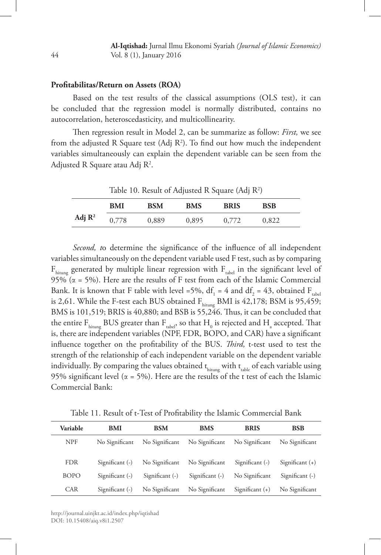#### **Profitabilitas/Return on Assets (ROA)**

Based on the test results of the classical assumptions (OLS test), it can be concluded that the regression model is normally distributed, contains no autocorrelation, heteroscedasticity, and multicollinearity.

Then regression result in Model 2, can be summarize as follow: *First,* we see from the adjusted R Square test (Adj  $R^2$ ). To find out how much the independent variables simultaneously can explain the dependent variable can be seen from the Adjusted R Square atau Adj R².

Table 10. Result of Adjusted R Square (Adj  $R^2$ )

|                    | <b>BMI</b> | <b>BSM</b> | <b>BMS</b> | <b>BRIS</b> | <b>BSB</b> |  |
|--------------------|------------|------------|------------|-------------|------------|--|
| Adj $\mathbb{R}^2$ | 0,778      | 0,889      | 0,895      | 0,772       | 0,822      |  |

*Second, t*o determine the significance of the influence of all independent variables simultaneously on the dependent variable used F test, such as by comparing  $F_{\text{hitung}}$  generated by multiple linear regression with  $F_{\text{table}}$  in the significant level of 95% ( $\alpha$  = 5%). Here are the results of F test from each of the Islamic Commercial Bank. It is known that F table with level =5%,  $df_1 = 4$  and  $df_2 = 43$ , obtained F<sub>tabel</sub> is 2,61. While the F-test each BUS obtained  $F_{\text{hitung}}$  BMI is 42,178; BSM is 95,459; BMS is 101,519; BRIS is 40,880; and BSB is 55,246. Thus, it can be concluded that the entire  $\rm F_{hitung}$  BUS greater than  $\rm F_{\rm table}$ , so that  $\rm H_{_0}$  is rejected and  $\rm H_{_a}$  accepted. That is, there are independent variables (NPF, FDR, BOPO, and CAR) have a significant influence together on the profitability of the BUS. *Third,* t-test used to test the strength of the relationship of each independent variable on the dependent variable individually. By comparing the values obtained  $t_{\text{hitung}}$  with  $t_{\text{table}}$  of each variable using 95% significant level ( $\alpha$  = 5%). Here are the results of the t test of each the Islamic Commercial Bank:

Table 11. Result of t-Test of Profitability the Islamic Commercial Bank

| Variable    | BMI               | <b>BSM</b>        | <b>BMS</b>        | <b>BRIS</b>       | <b>BSB</b>        |
|-------------|-------------------|-------------------|-------------------|-------------------|-------------------|
| <b>NPF</b>  | No Significant    | No Significant    | No Significant    | No Significant    | No Significant    |
| <b>FDR</b>  | Significant $(-)$ | No Significant    | No Significant    | Significant (-)   | Significant $(+)$ |
| <b>BOPO</b> | Significant (-)   | Significant $(-)$ | Significant $(-)$ | No Significant    | Significant $(-)$ |
| <b>CAR</b>  | Significant (-)   | No Significant    | No Significant    | Significant $(+)$ | No Significant    |

http://journal.uinjkt.ac.id/index.php/iqtishad DOI: 10.15408/aiq.v8i1.2507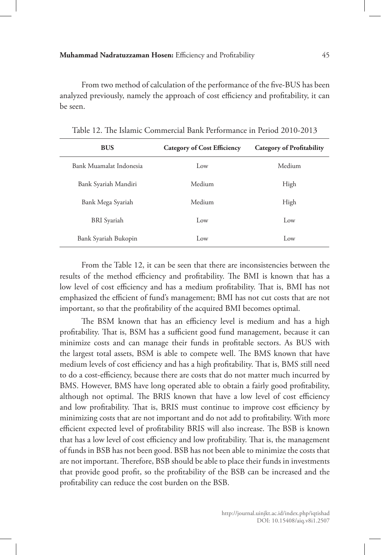From two method of calculation of the performance of the five-BUS has been analyzed previously, namely the approach of cost efficiency and profitability, it can be seen.

| <b>BUS</b>              | <b>Category of Cost Efficiency</b> | <b>Category of Profitability</b> |
|-------------------------|------------------------------------|----------------------------------|
| Bank Muamalat Indonesia | Low                                | Medium                           |
| Bank Syariah Mandiri    | Medium                             | High                             |
| Bank Mega Syariah       | Medium                             | High                             |
| <b>BRI</b> Syariah      | Low                                | Low                              |
| Bank Syariah Bukopin    | Low                                | Low                              |

Table 12. The Islamic Commercial Bank Performance in Period 2010-2013

From the Table 12, it can be seen that there are inconsistencies between the results of the method efficiency and profitability. The BMI is known that has a low level of cost efficiency and has a medium profitability. That is, BMI has not emphasized the efficient of fund's management; BMI has not cut costs that are not important, so that the profitability of the acquired BMI becomes optimal.

The BSM known that has an efficiency level is medium and has a high profitability. That is, BSM has a sufficient good fund management, because it can minimize costs and can manage their funds in profitable sectors. As BUS with the largest total assets, BSM is able to compete well. The BMS known that have medium levels of cost efficiency and has a high profitability. That is, BMS still need to do a cost-efficiency, because there are costs that do not matter much incurred by BMS. However, BMS have long operated able to obtain a fairly good profitability, although not optimal. The BRIS known that have a low level of cost efficiency and low profitability. That is, BRIS must continue to improve cost efficiency by minimizing costs that are not important and do not add to profitability. With more efficient expected level of profitability BRIS will also increase. The BSB is known that has a low level of cost efficiency and low profitability. That is, the management of funds in BSB has not been good. BSB has not been able to minimize the costs that are not important. Therefore, BSB should be able to place their funds in investments that provide good profit, so the profitability of the BSB can be increased and the profitability can reduce the cost burden on the BSB.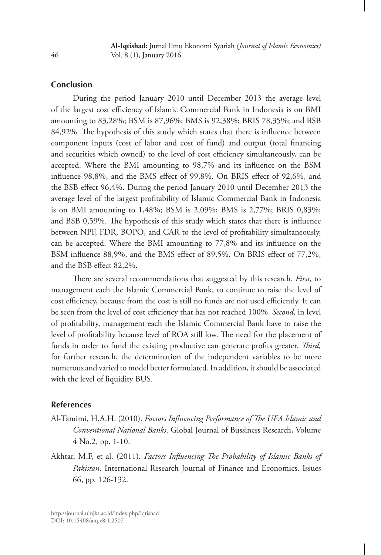## **Conclusion**

During the period January 2010 until December 2013 the average level of the largest cost efficiency of Islamic Commercial Bank in Indonesia is on BMI amounting to 83,28%; BSM is 87,96%; BMS is 92,38%; BRIS 78,35%; and BSB 84,92%. The hypothesis of this study which states that there is influence between component inputs (cost of labor and cost of fund) and output (total financing and securities which owned) to the level of cost efficiency simultaneously, can be accepted. Where the BMI amounting to 98,7% and its influence on the BSM influence 98,8%, and the BMS effect of 99,8%. On BRIS effect of 92,6%, and the BSB effect 96,4%. During the period January 2010 until December 2013 the average level of the largest profitability of Islamic Commercial Bank in Indonesia is on BMI amounting to 1,48%; BSM is 2,09%; BMS is 2,77%; BRIS 0,83%; and BSB 0,59%. The hypothesis of this study which states that there is influence between NPF, FDR, BOPO, and CAR to the level of profitability simultaneously, can be accepted. Where the BMI amounting to 77,8% and its influence on the BSM influence 88,9%, and the BMS effect of 89,5%. On BRIS effect of 77,2%, and the BSB effect 82,2%.

There are several recommendations that suggested by this research. *First,* to management each the Islamic Commercial Bank, to continue to raise the level of cost efficiency, because from the cost is still no funds are not used efficiently. It can be seen from the level of cost efficiency that has not reached 100%. *Second,* in level of profitability, management each the Islamic Commercial Bank have to raise the level of profitability because level of ROA still low. The need for the placement of funds in order to fund the existing productive can generate profits greater. *Third,*  for further research, the determination of the independent variables to be more numerous and varied to model better formulated. In addition, it should be associated with the level of liquidity BUS.

#### **References**

- Al-Tamimi, H.A.H. (2010). *Factors Influencing Performance of The UEA Islamic and Conventional National Banks*. Global Journal of Bussiness Research, Volume 4 No.2, pp. 1-10.
- Akhtar, M.F, et al. (2011). *Factors Influencing The Probability of Islamic Banks of Pakistan*. International Research Journal of Finance and Economics. Issues 66, pp. 126-132.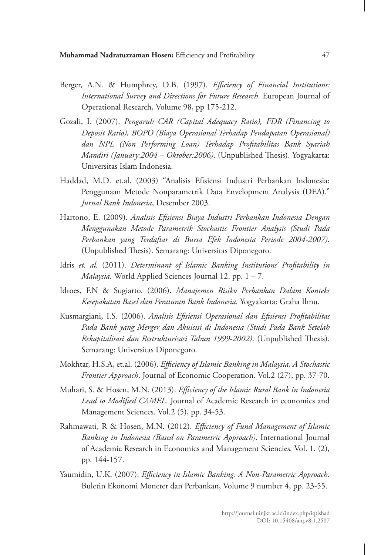- Berger, A.N. & Humphrey, D.B. (1997). *Efficiency of Financial Institutions: International Survey and Directions for Future Research*. European Journal of Operational Research, Volume 98, pp 175-212.
- Gozali, I. (2007). *Pengaruh CAR (Capital Adequacy Ratio), FDR (Financing to Deposit Ratio), BOPO (Biaya Operasional Terhadap Pendapatan Operasional) dan NPL (Non Performing Loan) Terhadap Profitabilitas Bank Syariah Mandiri (January:2004 – Oktober:2006)*. (Unpublished Thesis). Yogyakarta: Universitas Islam Indonesia.
- Haddad, M.D. et.al. (2003) "Analisis Efisiensi Industri Perbankan Indonesia: Penggunaan Metode Nonparametrik Data Envelopment Analysis (DEA)." *Jurnal Bank Indonesia*, Desember 2003.
- Hartono, E. (2009). *Analisis Efisiensi Biaya Industri Perbankan Indonesia Dengan Menggunakan Metode Parametrik Stochastic Frontier Analysis (Studi Pada Perbankan yang Terdaftar di Bursa Efek Indonesia Periode 2004-2007)*. (Unpublished Thesis). Semarang: Universitas Diponegoro.
- Idris *et. al.* (2011). *Determinant of Islamic Banking Institutions' Profitability in Malaysia.* World Applied Sciences Journal 12. pp. 1 – 7.
- Idroes, F.N & Sugiarto. (2006). *Manajemen Risiko Perbankan Dalam Konteks Kesepakatan Basel dan Peraturan Bank Indonesia.* Yogyakarta: Graha Ilmu.
- Kusmargiani, I.S. (2006). *Analisis Efisiensi Operasional dan Efisiensi Profitabilitas Pada Bank yang Merger dan Akuisisi di Indonesia (Studi Pada Bank Setelah Rekapitalisasi dan Restrukturisasi Tahun 1999-2002)*. (Unpublished Thesis). Semarang: Universitas Diponegoro.
- Mokhtar, H.S.A, et.al. (2006). *Efficiency of Islamic Banking in Malaysia, A Stochastic Frontier Approach*. Journal of Economic Cooperation. Vol.2 (27), pp. 37-70.
- Muhari, S. & Hosen, M.N. (2013). *Efficiency of the Islamic Rural Bank in Indonesia Lead to Modified CAMEL*. Journal of Academic Research in economics and Management Sciences. Vol.2 (5), pp. 34-53.
- Rahmawati, R & Hosen, M.N. (2012). *Efficiency of Fund Management of Islamic Banking in Indonesia (Based on Parametric Approach)*. International Journal of Academic Research in Economics and Management Sciencies*.* Vol. 1. (2), pp. 144-157.
- Yaumidin, U.K. (2007). *Efficiency in Islamic Banking: A Non-Parametric Approach*. Buletin Ekonomi Moneter dan Perbankan, Volume 9 number 4, pp. 23-55.